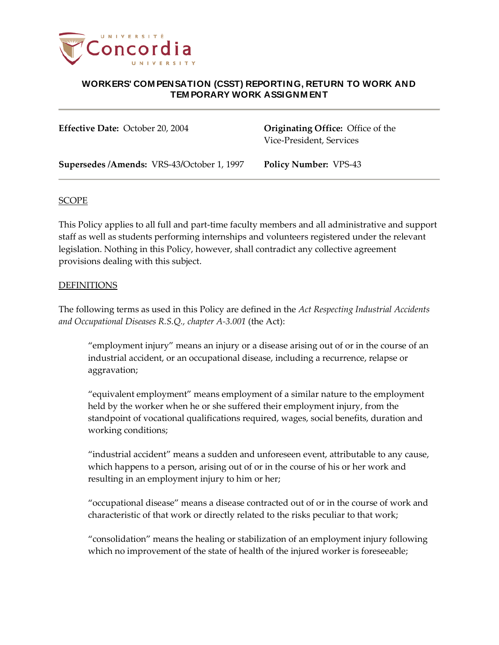

**Effective Date:** October 20, 2004 **Originating Office:** Office of the Vice-President, Services

**Supersedes /Amends:** VRS-43**/**October 1, 1997 **Policy Number:** VPS-43

### SCOPE

This Policy applies to all full and part-time faculty members and all administrative and support staff as well as students performing internships and volunteers registered under the relevant legislation. Nothing in this Policy, however, shall contradict any collective agreement provisions dealing with this subject.

#### DEFINITIONS

The following terms as used in this Policy are defined in the *Act Respecting Industrial Accidents and Occupational Diseases R.S.Q., chapter A-3.001* (the Act):

"employment injury" means an injury or a disease arising out of or in the course of an industrial accident, or an occupational disease, including a recurrence, relapse or aggravation;

"equivalent employment" means employment of a similar nature to the employment held by the worker when he or she suffered their employment injury, from the standpoint of vocational qualifications required, wages, social benefits, duration and working conditions;

"industrial accident" means a sudden and unforeseen event, attributable to any cause, which happens to a person, arising out of or in the course of his or her work and resulting in an employment injury to him or her;

"occupational disease" means a disease contracted out of or in the course of work and characteristic of that work or directly related to the risks peculiar to that work;

"consolidation" means the healing or stabilization of an employment injury following which no improvement of the state of health of the injured worker is foreseeable;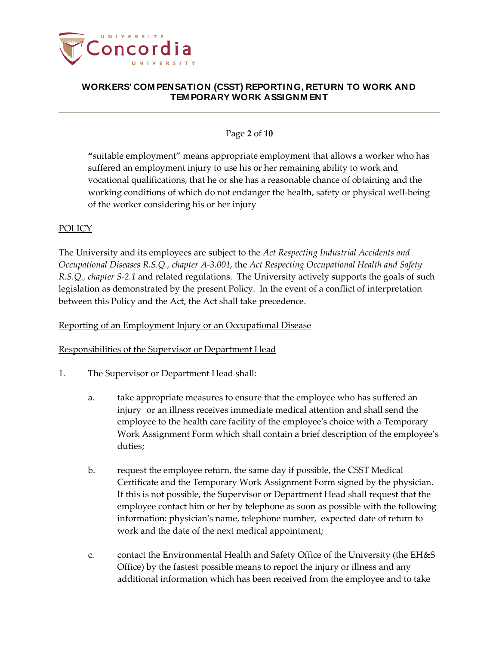

## Page **2** of **10**

**"**suitable employment" means appropriate employment that allows a worker who has suffered an employment injury to use his or her remaining ability to work and vocational qualifications, that he or she has a reasonable chance of obtaining and the working conditions of which do not endanger the health, safety or physical well-being of the worker considering his or her injury

## **POLICY**

The University and its employees are subject to the *Act Respecting Industrial Accidents and Occupational Diseases R.S.Q., chapter A-3.001*, the *Act Respecting Occupational Health and Safety R.S.Q., chapter S-2.1* and related regulations. The University actively supports the goals of such legislation as demonstrated by the present Policy. In the event of a conflict of interpretation between this Policy and the Act, the Act shall take precedence.

### Reporting of an Employment Injury or an Occupational Disease

### Responsibilities of the Supervisor or Department Head

- 1. The Supervisor or Department Head shall:
	- a. take appropriate measures to ensure that the employee who has suffered an injury or an illness receives immediate medical attention and shall send the employee to the health care facility of the employee's choice with a Temporary Work Assignment Form which shall contain a brief description of the employee's duties;
	- b. request the employee return, the same day if possible, the CSST Medical Certificate and the Temporary Work Assignment Form signed by the physician. If this is not possible, the Supervisor or Department Head shall request that the employee contact him or her by telephone as soon as possible with the following information: physician's name, telephone number, expected date of return to work and the date of the next medical appointment;
	- c. contact the Environmental Health and Safety Office of the University (the EH&S Office) by the fastest possible means to report the injury or illness and any additional information which has been received from the employee and to take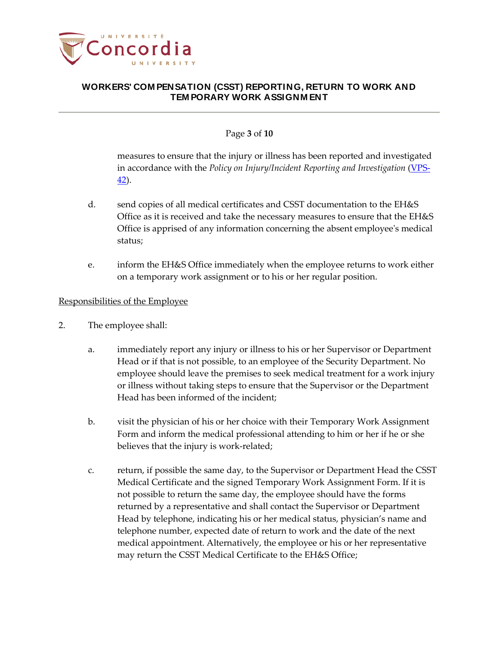

## Page **3** of **10**

measures to ensure that the injury or illness has been reported and investigated in accordance with the *Policy on Injury/Incident Reporting and Investigation* [\(VPS-](http://www.concordia.ca/vpirsg/documents/policies/VPS-42.pdf)[42\)](http://www.concordia.ca/vpirsg/documents/policies/VPS-42.pdf).

- d. send copies of all medical certificates and CSST documentation to the EH&S Office as it is received and take the necessary measures to ensure that the EH&S Office is apprised of any information concerning the absent employee's medical status;
- e. inform the EH&S Office immediately when the employee returns to work either on a temporary work assignment or to his or her regular position.

### Responsibilities of the Employee

- 2. The employee shall:
	- a. immediately report any injury or illness to his or her Supervisor or Department Head or if that is not possible, to an employee of the Security Department. No employee should leave the premises to seek medical treatment for a work injury or illness without taking steps to ensure that the Supervisor or the Department Head has been informed of the incident;
	- b. visit the physician of his or her choice with their Temporary Work Assignment Form and inform the medical professional attending to him or her if he or she believes that the injury is work-related;
	- c. return, if possible the same day, to the Supervisor or Department Head the CSST Medical Certificate and the signed Temporary Work Assignment Form. If it is not possible to return the same day, the employee should have the forms returned by a representative and shall contact the Supervisor or Department Head by telephone, indicating his or her medical status, physician's name and telephone number, expected date of return to work and the date of the next medical appointment. Alternatively, the employee or his or her representative may return the CSST Medical Certificate to the EH&S Office;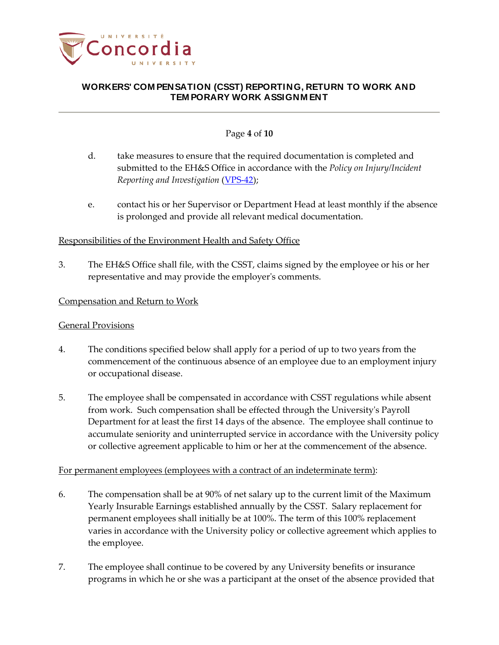

## Page **4** of **10**

- d. take measures to ensure that the required documentation is completed and submitted to the EH&S Office in accordance with the *Policy on Injury/Incident Reporting and Investigation* [\(VPS-42\)](http://www.concordia.ca/vpirsg/documents/policies/VPS-42.pdf);
- e. contact his or her Supervisor or Department Head at least monthly if the absence is prolonged and provide all relevant medical documentation.

## Responsibilities of the Environment Health and Safety Office

3. The EH&S Office shall file, with the CSST, claims signed by the employee or his or her representative and may provide the employer's comments.

### Compensation and Return to Work

### General Provisions

- 4. The conditions specified below shall apply for a period of up to two years from the commencement of the continuous absence of an employee due to an employment injury or occupational disease.
- 5. The employee shall be compensated in accordance with CSST regulations while absent from work. Such compensation shall be effected through the University's Payroll Department for at least the first 14 days of the absence. The employee shall continue to accumulate seniority and uninterrupted service in accordance with the University policy or collective agreement applicable to him or her at the commencement of the absence.

### For permanent employees (employees with a contract of an indeterminate term):

- 6. The compensation shall be at 90% of net salary up to the current limit of the Maximum Yearly Insurable Earnings established annually by the CSST. Salary replacement for permanent employees shall initially be at 100%. The term of this 100% replacement varies in accordance with the University policy or collective agreement which applies to the employee.
- 7. The employee shall continue to be covered by any University benefits or insurance programs in which he or she was a participant at the onset of the absence provided that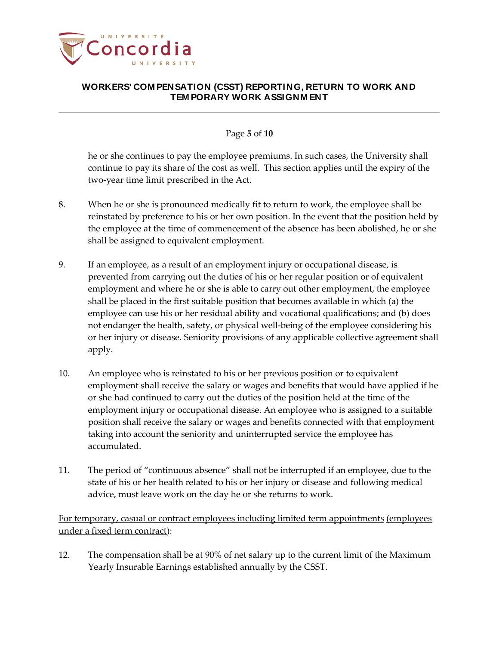

## Page **5** of **10**

he or she continues to pay the employee premiums. In such cases, the University shall continue to pay its share of the cost as well. This section applies until the expiry of the two-year time limit prescribed in the Act.

- 8. When he or she is pronounced medically fit to return to work, the employee shall be reinstated by preference to his or her own position. In the event that the position held by the employee at the time of commencement of the absence has been abolished, he or she shall be assigned to equivalent employment.
- 9. If an employee, as a result of an employment injury or occupational disease, is prevented from carrying out the duties of his or her regular position or of equivalent employment and where he or she is able to carry out other employment, the employee shall be placed in the first suitable position that becomes available in which (a) the employee can use his or her residual ability and vocational qualifications; and (b) does not endanger the health, safety, or physical well-being of the employee considering his or her injury or disease. Seniority provisions of any applicable collective agreement shall apply.
- 10. An employee who is reinstated to his or her previous position or to equivalent employment shall receive the salary or wages and benefits that would have applied if he or she had continued to carry out the duties of the position held at the time of the employment injury or occupational disease. An employee who is assigned to a suitable position shall receive the salary or wages and benefits connected with that employment taking into account the seniority and uninterrupted service the employee has accumulated.
- 11. The period of "continuous absence" shall not be interrupted if an employee, due to the state of his or her health related to his or her injury or disease and following medical advice, must leave work on the day he or she returns to work.

For temporary, casual or contract employees including limited term appointments (employees under a fixed term contract):

12. The compensation shall be at 90% of net salary up to the current limit of the Maximum Yearly Insurable Earnings established annually by the CSST.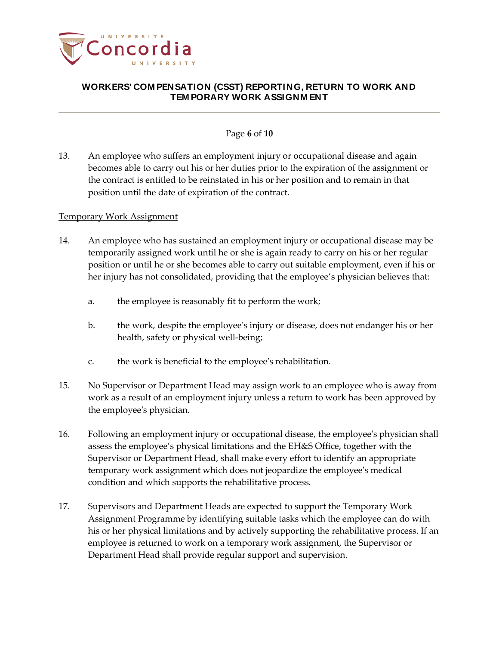

### Page **6** of **10**

13. An employee who suffers an employment injury or occupational disease and again becomes able to carry out his or her duties prior to the expiration of the assignment or the contract is entitled to be reinstated in his or her position and to remain in that position until the date of expiration of the contract.

#### Temporary Work Assignment

- 14. An employee who has sustained an employment injury or occupational disease may be temporarily assigned work until he or she is again ready to carry on his or her regular position or until he or she becomes able to carry out suitable employment, even if his or her injury has not consolidated, providing that the employee's physician believes that:
	- a. the employee is reasonably fit to perform the work;
	- b. the work, despite the employee's injury or disease, does not endanger his or her health, safety or physical well-being;
	- c. the work is beneficial to the employee's rehabilitation.
- 15. No Supervisor or Department Head may assign work to an employee who is away from work as a result of an employment injury unless a return to work has been approved by the employee's physician.
- 16. Following an employment injury or occupational disease, the employee's physician shall assess the employee's physical limitations and the EH&S Office, together with the Supervisor or Department Head, shall make every effort to identify an appropriate temporary work assignment which does not jeopardize the employee's medical condition and which supports the rehabilitative process.
- 17. Supervisors and Department Heads are expected to support the Temporary Work Assignment Programme by identifying suitable tasks which the employee can do with his or her physical limitations and by actively supporting the rehabilitative process. If an employee is returned to work on a temporary work assignment, the Supervisor or Department Head shall provide regular support and supervision.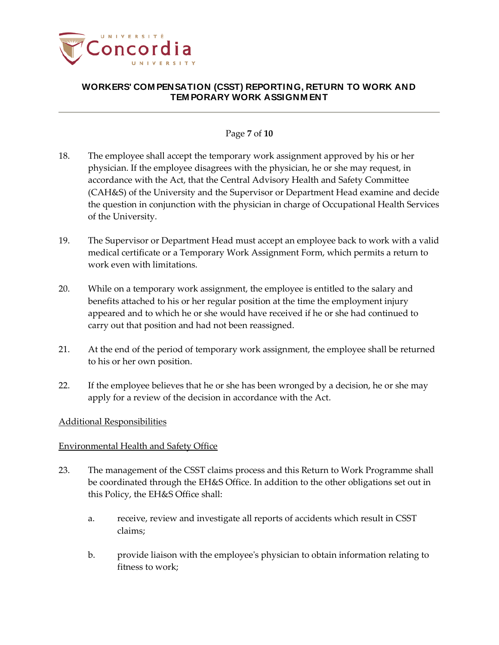

### Page **7** of **10**

- 18. The employee shall accept the temporary work assignment approved by his or her physician. If the employee disagrees with the physician, he or she may request, in accordance with the Act, that the Central Advisory Health and Safety Committee (CAH&S) of the University and the Supervisor or Department Head examine and decide the question in conjunction with the physician in charge of Occupational Health Services of the University.
- 19. The Supervisor or Department Head must accept an employee back to work with a valid medical certificate or a Temporary Work Assignment Form, which permits a return to work even with limitations.
- 20. While on a temporary work assignment, the employee is entitled to the salary and benefits attached to his or her regular position at the time the employment injury appeared and to which he or she would have received if he or she had continued to carry out that position and had not been reassigned.
- 21. At the end of the period of temporary work assignment, the employee shall be returned to his or her own position.
- 22. If the employee believes that he or she has been wronged by a decision, he or she may apply for a review of the decision in accordance with the Act.

### Additional Responsibilities

### Environmental Health and Safety Office

- 23. The management of the CSST claims process and this Return to Work Programme shall be coordinated through the EH&S Office. In addition to the other obligations set out in this Policy, the EH&S Office shall:
	- a. receive, review and investigate all reports of accidents which result in CSST claims;
	- b. provide liaison with the employee's physician to obtain information relating to fitness to work;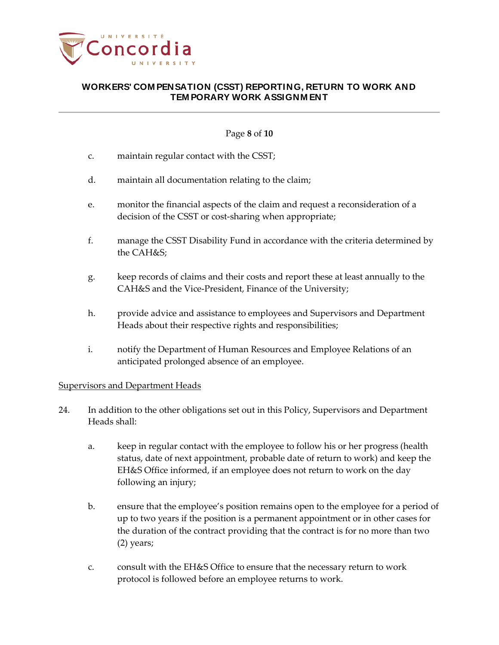

## Page **8** of **10**

- c. maintain regular contact with the CSST;
- d. maintain all documentation relating to the claim;
- e. monitor the financial aspects of the claim and request a reconsideration of a decision of the CSST or cost-sharing when appropriate;
- f. manage the CSST Disability Fund in accordance with the criteria determined by the CAH&S;
- g. keep records of claims and their costs and report these at least annually to the CAH&S and the Vice-President, Finance of the University;
- h. provide advice and assistance to employees and Supervisors and Department Heads about their respective rights and responsibilities;
- i. notify the Department of Human Resources and Employee Relations of an anticipated prolonged absence of an employee.

# Supervisors and Department Heads

- 24. In addition to the other obligations set out in this Policy, Supervisors and Department Heads shall:
	- a. keep in regular contact with the employee to follow his or her progress (health status, date of next appointment, probable date of return to work) and keep the EH&S Office informed, if an employee does not return to work on the day following an injury;
	- b. ensure that the employee's position remains open to the employee for a period of up to two years if the position is a permanent appointment or in other cases for the duration of the contract providing that the contract is for no more than two (2) years;
	- c. consult with the EH&S Office to ensure that the necessary return to work protocol is followed before an employee returns to work.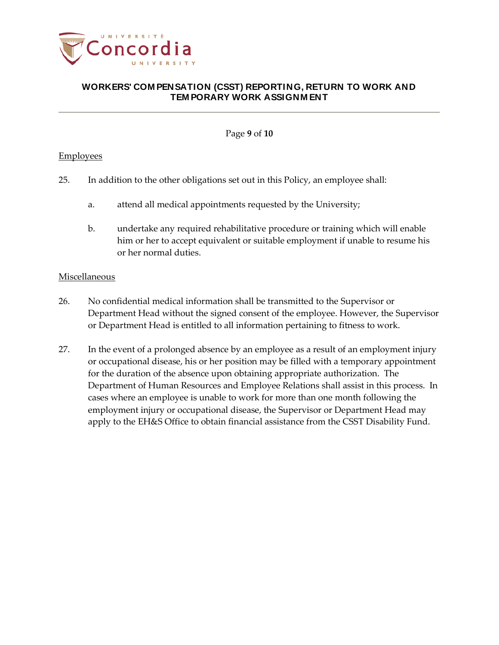

Page **9** of **10**

### **Employees**

- 25. In addition to the other obligations set out in this Policy, an employee shall:
	- a. attend all medical appointments requested by the University;
	- b. undertake any required rehabilitative procedure or training which will enable him or her to accept equivalent or suitable employment if unable to resume his or her normal duties.

### Miscellaneous

- 26. No confidential medical information shall be transmitted to the Supervisor or Department Head without the signed consent of the employee. However, the Supervisor or Department Head is entitled to all information pertaining to fitness to work.
- 27. In the event of a prolonged absence by an employee as a result of an employment injury or occupational disease, his or her position may be filled with a temporary appointment for the duration of the absence upon obtaining appropriate authorization. The Department of Human Resources and Employee Relations shall assist in this process. In cases where an employee is unable to work for more than one month following the employment injury or occupational disease, the Supervisor or Department Head may apply to the EH&S Office to obtain financial assistance from the CSST Disability Fund.